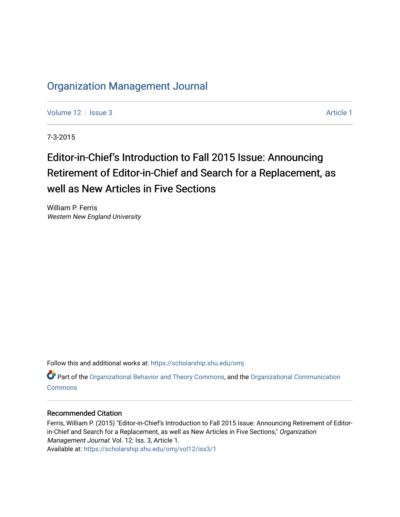## [Organization Management Journal](https://scholarship.shu.edu/omj)

[Volume 12](https://scholarship.shu.edu/omj/vol12) | [Issue 3](https://scholarship.shu.edu/omj/vol12/iss3) Article 1

7-3-2015

# Editor-in-Chief's Introduction to Fall 2015 Issue: Announcing Retirement of Editor-in-Chief and Search for a Replacement, as well as New Articles in Five Sections

William P. Ferris Western New England University

Follow this and additional works at: [https://scholarship.shu.edu/omj](https://scholarship.shu.edu/omj?utm_source=scholarship.shu.edu%2Fomj%2Fvol12%2Fiss3%2F1&utm_medium=PDF&utm_campaign=PDFCoverPages) 

Part of the [Organizational Behavior and Theory Commons,](http://network.bepress.com/hgg/discipline/639?utm_source=scholarship.shu.edu%2Fomj%2Fvol12%2Fiss3%2F1&utm_medium=PDF&utm_campaign=PDFCoverPages) and the [Organizational Communication](http://network.bepress.com/hgg/discipline/335?utm_source=scholarship.shu.edu%2Fomj%2Fvol12%2Fiss3%2F1&utm_medium=PDF&utm_campaign=PDFCoverPages) **[Commons](http://network.bepress.com/hgg/discipline/335?utm_source=scholarship.shu.edu%2Fomj%2Fvol12%2Fiss3%2F1&utm_medium=PDF&utm_campaign=PDFCoverPages)** 

### Recommended Citation

Ferris, William P. (2015) "Editor-in-Chief's Introduction to Fall 2015 Issue: Announcing Retirement of Editorin-Chief and Search for a Replacement, as well as New Articles in Five Sections," Organization Management Journal: Vol. 12: Iss. 3, Article 1. Available at: [https://scholarship.shu.edu/omj/vol12/iss3/1](https://scholarship.shu.edu/omj/vol12/iss3/1?utm_source=scholarship.shu.edu%2Fomj%2Fvol12%2Fiss3%2F1&utm_medium=PDF&utm_campaign=PDFCoverPages)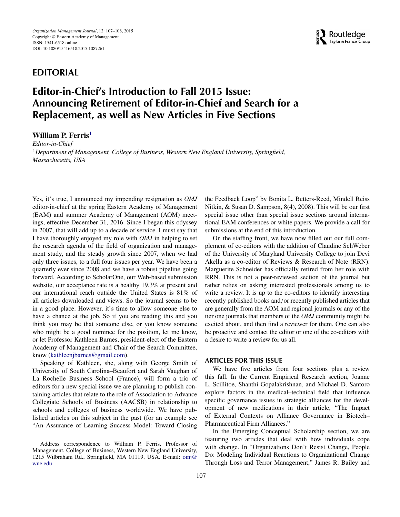### **EDITORIAL**



# **Editor-in-Chief's Introduction to Fall 2015 Issue: Announcing Retirement of Editor-in-Chief and Search for a Replacement, as well as New Articles in Five Sections**

### **William P. Ferris[1](#page-1-0)**

<span id="page-1-0"></span>*Editor-in-Chief*

<sup>1</sup>*Department of Management, College of Business, Western New England University, Springfield, Massachusetts, USA*

Yes, it's true, I announced my impending resignation as *OMJ* editor-in-chief at the spring Eastern Academy of Management (EAM) and summer Academy of Management (AOM) meetings, effective December 31, 2016. Since I began this odyssey in 2007, that will add up to a decade of service. I must say that I have thoroughly enjoyed my role with *OMJ* in helping to set the research agenda of the field of organization and management study, and the steady growth since 2007, when we had only three issues, to a full four issues per year. We have been a quarterly ever since 2008 and we have a robust pipeline going forward. According to ScholarOne, our Web-based submission website, our acceptance rate is a healthy 19.3% at present and our international reach outside the United States is 81% of all articles downloaded and views. So the journal seems to be in a good place. However, it's time to allow someone else to have a chance at the job. So if you are reading this and you think you may be that someone else, or you know someone who might be a good nominee for the position, let me know, or let Professor Kathleen Barnes, president-elect of the Eastern Academy of Management and Chair of the Search Committee, know (kathleenjbarnes@gmail.com).

Speaking of Kathleen, she, along with George Smith of University of South Carolina–Beaufort and Sarah Vaughan of La Rochelle Business School (France), will form a trio of editors for a new special issue we are planning to publish containing articles that relate to the role of Association to Advance Collegiate Schools of Business (AACSB) in relationship to schools and colleges of business worldwide. We have published articles on this subject in the past (for an example see "An Assurance of Learning Success Model: Toward Closing

the Feedback Loop" by Bonita L. Betters-Reed, Mindell Reiss Nitkin, & Susan D. Sampson, 8(4), 2008). This will be our first special issue other than special issue sections around international EAM conferences or white papers. We provide a call for submissions at the end of this introduction.

On the staffing front, we have now filled out our full complement of co-editors with the addition of Claudine SchWeber of the University of Maryland University College to join Devi Akella as a co-editor of Reviews & Research of Note (RRN). Marguerite Schneider has officially retired from her role with RRN. This is not a peer-reviewed section of the journal but rather relies on asking interested professionals among us to write a review. It is up to the co-editors to identify interesting recently published books and*/*or recently published articles that are generally from the AOM and regional journals or any of the tier one journals that members of the *OMJ* community might be excited about, and then find a reviewer for them. One can also be proactive and contact the editor or one of the co-editors with a desire to write a review for us all.

#### **ARTICLES FOR THIS ISSUE**

We have five articles from four sections plus a review this fall. In the Current Empirical Research section, Joanne L. Scillitoe, Shanthi Gopalakrishnan, and Michael D. Santoro explore factors in the medical–technical field that influence specific governance issues in strategic alliances for the development of new medications in their article, "The Impact of External Contexts on Alliance Governance in Biotech– Pharmaceutical Firm Alliances."

In the Emerging Conceptual Scholarship section, we are featuring two articles that deal with how individuals cope with change. In "Organizations Don't Resist Change, People Do: Modeling Individual Reactions to Organizational Change Through Loss and Terror Management," James R. Bailey and

Address correspondence to William P. Ferris, Professor of Management, College of Business, Western New England University, 1215 Wilbraham Rd., Springfield, MA 01119, USA. E-mail: [omj@](mailto:omj@wne.edu) [wne.edu](mailto:omj@wne.edu)